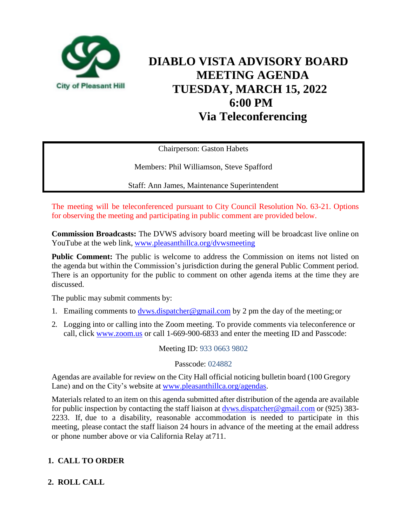

# **DIABLO VISTA ADVISORY BOARD MEETING AGENDA TUESDAY, MARCH 15, 2022 6:00 PM Via Teleconferencing**

Chairperson: Gaston Habets

Members: Phil Williamson, Steve Spafford

Staff: Ann James, Maintenance Superintendent

The meeting will be teleconferenced pursuant to City Council Resolution No. 63-21. Options for observing the meeting and participating in public comment are provided below.

**Commission Broadcasts:** The DVWS advisory board meeting will be broadcast live online on YouTube at the web link, [www.pleasanthillca.org/dvwsmeeting](http://www.pleasanthillca.org/dvwsmeeting)

**Public Comment:** The public is welcome to address the Commission on items not listed on the agenda but within the Commission's jurisdiction during the general Public Comment period. There is an opportunity for the public to comment on other agenda items at the time they are discussed.

The public may submit comments by:

- 1. Emailing comments to [dvws.dispatcher@gmail.com](mailto:dvws.dispatcher@gmail.com) by 2 pm the day of the meeting; or
- 2. Logging into or calling into the Zoom meeting. To provide comments via teleconference or call, click www.zoom.us or call 1-669-900-6833 and enter the meeting ID and Passcode:

Meeting ID: 933 0663 9802

Passcode: 024882

Agendas are available for review on the City Hall official noticing bulletin board (100 Gregory Lane) and on the City's website at [www.pleasanthillca.org/agendas.](http://www.pleasanthillca.org/agendas)

Materials related to an item on this agenda submitted after distribution of the agenda are available for public inspection by contacting the staff liaison at  $\frac{dvws.dispatcher@gmail.com}{gymail.com}$  or (925) 383-2233. If, due to a disability, reasonable accommodation is needed to participate in this meeting, please contact the staff liaison 24 hours in advance of the meeting at the email address or phone number above or via California Relay at711.

# **1. CALL TO ORDER**

# **2. ROLL CALL**